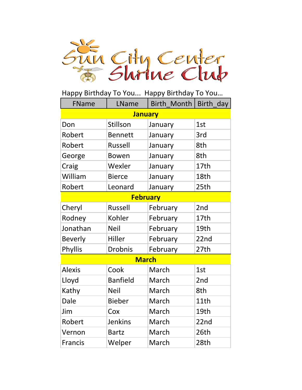

| FName           | LName           | Birth Month | Birth_day |  |
|-----------------|-----------------|-------------|-----------|--|
| <b>January</b>  |                 |             |           |  |
| Don             | Stillson        | January     | 1st       |  |
| Robert          | <b>Bennett</b>  | January     | 3rd       |  |
| Robert          | <b>Russell</b>  | January     | 8th       |  |
| George          | <b>Bowen</b>    | January     | 8th       |  |
| Craig           | Wexler          | January     | 17th      |  |
| William         | <b>Bierce</b>   | January     | 18th      |  |
| Robert          | Leonard         | January     | 25th      |  |
| <b>February</b> |                 |             |           |  |
| Cheryl          | <b>Russell</b>  | February    | 2nd       |  |
| Rodney          | Kohler          | February    | 17th      |  |
| Jonathan        | <b>Neil</b>     | February    | 19th      |  |
| <b>Beverly</b>  | Hiller          | February    | 22nd      |  |
| Phyllis         | <b>Drobnis</b>  | February    | 27th      |  |
| <b>March</b>    |                 |             |           |  |
| <b>Alexis</b>   | Cook            | March       | 1st       |  |
| Lloyd           | <b>Banfield</b> | March       | 2nd       |  |
| Kathy           | <b>Neil</b>     | March       | 8th       |  |
| <b>Dale</b>     | <b>Bieber</b>   | March       | 11th      |  |
| Jim             | Cox             | March       | 19th      |  |
| Robert          | <b>Jenkins</b>  | March       | 22nd      |  |
| Vernon          | <b>Bartz</b>    | March       | 26th      |  |
| <b>Francis</b>  | Welper          | March       | 28th      |  |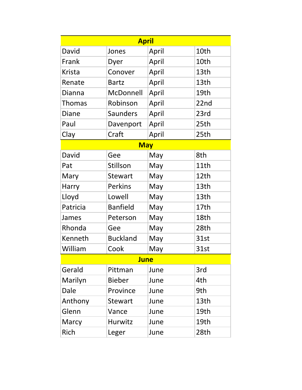|             | <b>April</b>    |       |      |  |
|-------------|-----------------|-------|------|--|
| David       | Jones           | April | 10th |  |
| Frank       | Dyer            | April | 10th |  |
| Krista      | Conover         | April | 13th |  |
| Renate      | <b>Bartz</b>    | April | 13th |  |
| Dianna      | McDonnell       | April | 19th |  |
| Thomas      | Robinson        | April | 22nd |  |
| Diane       | <b>Saunders</b> | April | 23rd |  |
| Paul        | Davenport       | April | 25th |  |
| Clay        | Craft           | April | 25th |  |
|             | <b>May</b>      |       |      |  |
| David       | Gee             | May   | 8th  |  |
| Pat         | Stillson        | May   | 11th |  |
| Mary        | <b>Stewart</b>  | May   | 12th |  |
| Harry       | <b>Perkins</b>  | May   | 13th |  |
| Lloyd       | Lowell          | May   | 13th |  |
| Patricia    | <b>Banfield</b> | May   | 17th |  |
| James       | Peterson        | May   | 18th |  |
| Rhonda      | Gee             | May   | 28th |  |
| Kenneth     | <b>Buckland</b> | May   | 31st |  |
| William     | Cook            | May   | 31st |  |
| <b>June</b> |                 |       |      |  |
| Gerald      | Pittman         | June  | 3rd  |  |
| Marilyn     | <b>Bieber</b>   | June  | 4th  |  |
| Dale        | Province        | June  | 9th  |  |
| Anthony     | <b>Stewart</b>  | June  | 13th |  |
| Glenn       | Vance           | June  | 19th |  |
| Marcy       | Hurwitz         | June  | 19th |  |
| Rich        | Leger           | June  | 28th |  |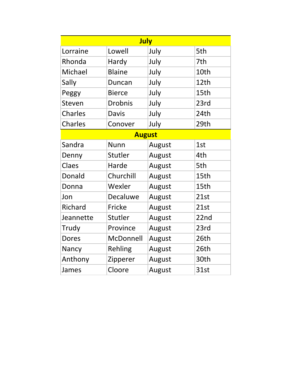|                |                | July          |      |
|----------------|----------------|---------------|------|
| Lorraine       | Lowell         | July          | 5th  |
| Rhonda         | Hardy          | July          | 7th  |
| Michael        | <b>Blaine</b>  | July          | 10th |
| Sally          | Duncan         | July          | 12th |
| Peggy          | <b>Bierce</b>  | July          | 15th |
| Steven         | <b>Drobnis</b> | July          | 23rd |
| <b>Charles</b> | <b>Davis</b>   | July          | 24th |
| <b>Charles</b> | Conover        | July          | 29th |
|                |                | <b>August</b> |      |
| Sandra         | <b>Nunn</b>    | August        | 1st  |
| Denny          | Stutler        | August        | 4th  |
| Claes          | Harde          | August        | 5th  |
| Donald         | Churchill      | August        | 15th |
| Donna          | Wexler         | August        | 15th |
| Jon            | Decaluwe       | August        | 21st |
| Richard        | Fricke         | August        | 21st |
| Jeannette      | Stutler        | August        | 22nd |
| Trudy          | Province       | August        | 23rd |
| <b>Dores</b>   | McDonnell      | August        | 26th |
| Nancy          | Rehling        | August        | 26th |
| Anthony        | Zipperer       | August        | 30th |
| James          | Cloore         | August        | 31st |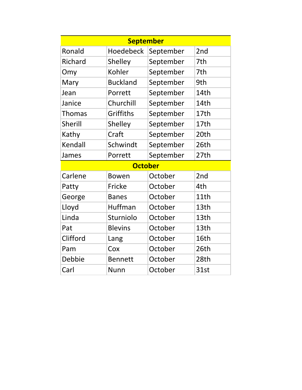|               | <b>September</b> |           |                 |
|---------------|------------------|-----------|-----------------|
| Ronald        | <b>Hoedebeck</b> | September | 2 <sub>nd</sub> |
| Richard       | Shelley          | September | 7th             |
| Omy           | Kohler           | September | 7th             |
| Mary          | <b>Buckland</b>  | September | 9th             |
| Jean          | Porrett          | September | 14th            |
| Janice        | Churchill        | September | 14th            |
| <b>Thomas</b> | Griffiths        | September | 17th            |
| Sherill       | Shelley          | September | 17th            |
| Kathy         | Craft            | September | 20th            |
| Kendall       | Schwindt         | September | 26th            |
| James         | Porrett          | September | 27th            |
|               | <b>October</b>   |           |                 |
| Carlene       | <b>Bowen</b>     | October   | 2 <sub>nd</sub> |
| Patty         | Fricke           | October   | 4th             |
| George        | <b>Banes</b>     | October   | 11th            |
| Lloyd         | Huffman          | October   | 13th            |
| Linda         | Sturniolo        | October   | 13th            |
| Pat           | <b>Blevins</b>   | October   | 13th            |
| Clifford      | Lang             | October   | 16th            |
| Pam           | Cox              | October   | 26th            |
| Debbie        | <b>Bennett</b>   | October   | 28th            |
| Carl          | <b>Nunn</b>      | October   | 31st            |